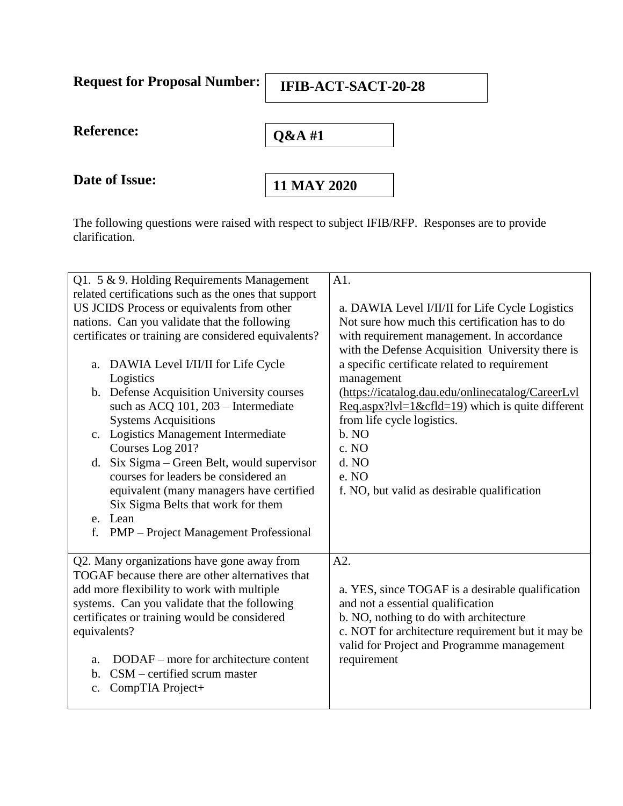| <b>Request for Proposal Number:</b> | <b>IFIB-ACT-SACT-20-28</b> |  |
|-------------------------------------|----------------------------|--|
| <b>Reference:</b>                   | $Q&AA$ #1                  |  |
| Date of Issue:                      | 11 MAY 2020                |  |

 $\blacksquare$ 

 $\overline{\phantom{0}}$ 

The following questions were raised with respect to subject IFIB/RFP. Responses are to provide clarification.

| Q1. 5 & 9. Holding Requirements Management           | A1.                                                        |
|------------------------------------------------------|------------------------------------------------------------|
| related certifications such as the ones that support |                                                            |
| US JCIDS Process or equivalents from other           | a. DAWIA Level I/II/II for Life Cycle Logistics            |
| nations. Can you validate that the following         | Not sure how much this certification has to do             |
| certificates or training are considered equivalents? | with requirement management. In accordance                 |
|                                                      | with the Defense Acquisition University there is           |
| a. DAWIA Level I/II/II for Life Cycle                | a specific certificate related to requirement              |
| Logistics                                            | management                                                 |
| b. Defense Acquisition University courses            | (https://icatalog.dau.edu/onlinecatalog/CareerLyl          |
| such as ACQ 101, 203 - Intermediate                  | $\text{Req.aspx?}$ lvl=1&cfld=19) which is quite different |
| <b>Systems Acquisitions</b>                          | from life cycle logistics.                                 |
| c. Logistics Management Intermediate                 | b. NO                                                      |
| Courses Log 201?                                     | c. NO                                                      |
| d. Six Sigma – Green Belt, would supervisor          | d. NO                                                      |
| courses for leaders be considered an                 | e. NO                                                      |
| equivalent (many managers have certified             | f. NO, but valid as desirable qualification                |
| Six Sigma Belts that work for them                   |                                                            |
| e. Lean                                              |                                                            |
| f.<br>PMP – Project Management Professional          |                                                            |
|                                                      |                                                            |
| Q2. Many organizations have gone away from           | A2.                                                        |
| TOGAF because there are other alternatives that      |                                                            |
| add more flexibility to work with multiple           | a. YES, since TOGAF is a desirable qualification           |
| systems. Can you validate that the following         | and not a essential qualification                          |
| certificates or training would be considered         | b. NO, nothing to do with architecture                     |
| equivalents?                                         | c. NOT for architecture requirement but it may be          |
|                                                      | valid for Project and Programme management                 |
| DODAF – more for architecture content<br>a.          | requirement                                                |
| $CSM$ – certified scrum master<br>b.                 |                                                            |
| CompTIA Project+<br>c.                               |                                                            |
|                                                      |                                                            |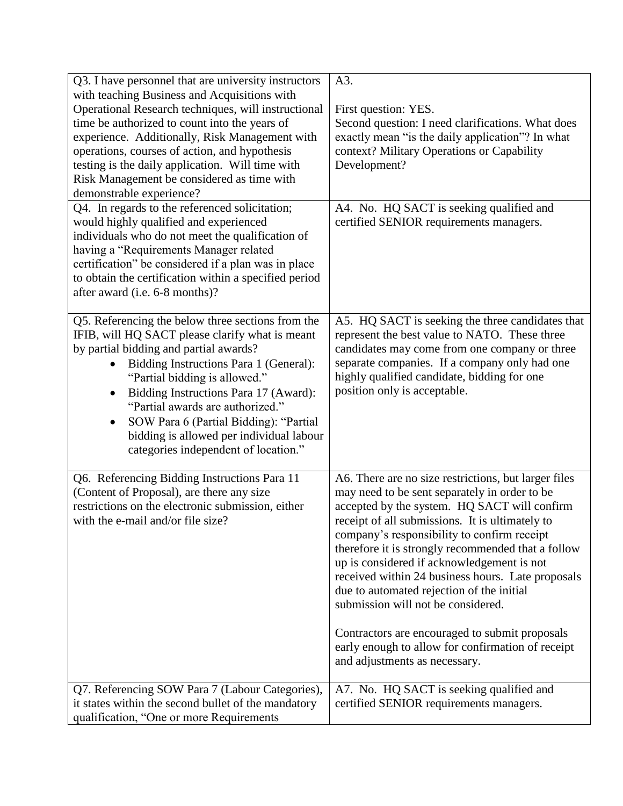| Q3. I have personnel that are university instructors                                                                                           | A3.                                                                                                                                                |
|------------------------------------------------------------------------------------------------------------------------------------------------|----------------------------------------------------------------------------------------------------------------------------------------------------|
| with teaching Business and Acquisitions with                                                                                                   |                                                                                                                                                    |
| Operational Research techniques, will instructional                                                                                            | First question: YES.                                                                                                                               |
| time be authorized to count into the years of                                                                                                  | Second question: I need clarifications. What does                                                                                                  |
| experience. Additionally, Risk Management with                                                                                                 | exactly mean "is the daily application"? In what                                                                                                   |
| operations, courses of action, and hypothesis                                                                                                  | context? Military Operations or Capability                                                                                                         |
| testing is the daily application. Will time with                                                                                               | Development?                                                                                                                                       |
| Risk Management be considered as time with                                                                                                     |                                                                                                                                                    |
| demonstrable experience?                                                                                                                       |                                                                                                                                                    |
| Q4. In regards to the referenced solicitation;                                                                                                 | A4. No. HQ SACT is seeking qualified and                                                                                                           |
| would highly qualified and experienced                                                                                                         | certified SENIOR requirements managers.                                                                                                            |
| individuals who do not meet the qualification of                                                                                               |                                                                                                                                                    |
| having a "Requirements Manager related                                                                                                         |                                                                                                                                                    |
| certification" be considered if a plan was in place                                                                                            |                                                                                                                                                    |
| to obtain the certification within a specified period                                                                                          |                                                                                                                                                    |
| after award (i.e. 6-8 months)?                                                                                                                 |                                                                                                                                                    |
|                                                                                                                                                |                                                                                                                                                    |
| Q5. Referencing the below three sections from the<br>IFIB, will HQ SACT please clarify what is meant<br>by partial bidding and partial awards? | A5. HQ SACT is seeking the three candidates that<br>represent the best value to NATO. These three<br>candidates may come from one company or three |
| Bidding Instructions Para 1 (General):<br>$\bullet$                                                                                            | separate companies. If a company only had one                                                                                                      |
| "Partial bidding is allowed."                                                                                                                  | highly qualified candidate, bidding for one                                                                                                        |
| Bidding Instructions Para 17 (Award):<br>$\bullet$                                                                                             | position only is acceptable.                                                                                                                       |
| "Partial awards are authorized."                                                                                                               |                                                                                                                                                    |
| SOW Para 6 (Partial Bidding): "Partial                                                                                                         |                                                                                                                                                    |
| $\bullet$<br>bidding is allowed per individual labour                                                                                          |                                                                                                                                                    |
| categories independent of location."                                                                                                           |                                                                                                                                                    |
|                                                                                                                                                |                                                                                                                                                    |
| Q6. Referencing Bidding Instructions Para 11                                                                                                   | A6. There are no size restrictions, but larger files                                                                                               |
| (Content of Proposal), are there any size                                                                                                      | may need to be sent separately in order to be                                                                                                      |
| restrictions on the electronic submission, either                                                                                              | accepted by the system. HQ SACT will confirm                                                                                                       |
| with the e-mail and/or file size?                                                                                                              | receipt of all submissions. It is ultimately to                                                                                                    |
|                                                                                                                                                | company's responsibility to confirm receipt                                                                                                        |
|                                                                                                                                                | therefore it is strongly recommended that a follow                                                                                                 |
|                                                                                                                                                | up is considered if acknowledgement is not                                                                                                         |
|                                                                                                                                                | received within 24 business hours. Late proposals                                                                                                  |
|                                                                                                                                                | due to automated rejection of the initial                                                                                                          |
|                                                                                                                                                | submission will not be considered.                                                                                                                 |
|                                                                                                                                                |                                                                                                                                                    |
|                                                                                                                                                | Contractors are encouraged to submit proposals                                                                                                     |
|                                                                                                                                                | early enough to allow for confirmation of receipt                                                                                                  |
|                                                                                                                                                | and adjustments as necessary.                                                                                                                      |
|                                                                                                                                                |                                                                                                                                                    |
| Q7. Referencing SOW Para 7 (Labour Categories),                                                                                                | A7. No. HQ SACT is seeking qualified and                                                                                                           |
| it states within the second bullet of the mandatory                                                                                            | certified SENIOR requirements managers.                                                                                                            |
| qualification, "One or more Requirements                                                                                                       |                                                                                                                                                    |